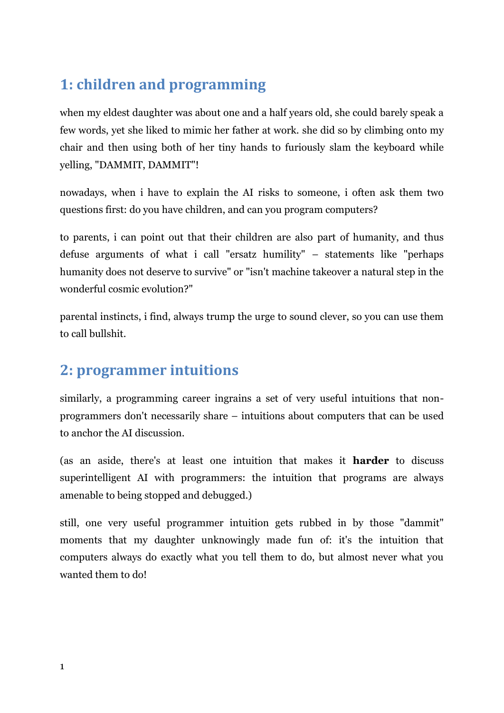# **1: children and programming**

when my eldest daughter was about one and a half years old, she could barely speak a few words, yet she liked to mimic her father at work. she did so by climbing onto my chair and then using both of her tiny hands to furiously slam the keyboard while yelling, "DAMMIT, DAMMIT"!

nowadays, when i have to explain the AI risks to someone, i often ask them two questions first: do you have children, and can you program computers?

to parents, i can point out that their children are also part of humanity, and thus defuse arguments of what i call "ersatz humility" – statements like "perhaps humanity does not deserve to survive" or "isn't machine takeover a natural step in the wonderful cosmic evolution?"

parental instincts, i find, always trump the urge to sound clever, so you can use them to call bullshit.

#### **2: programmer intuitions**

similarly, a programming career ingrains a set of very useful intuitions that nonprogrammers don't necessarily share – intuitions about computers that can be used to anchor the AI discussion.

(as an aside, there's at least one intuition that makes it **harder** to discuss superintelligent AI with programmers: the intuition that programs are always amenable to being stopped and debugged.)

still, one very useful programmer intuition gets rubbed in by those "dammit" moments that my daughter unknowingly made fun of: it's the intuition that computers always do exactly what you tell them to do, but almost never what you wanted them to do!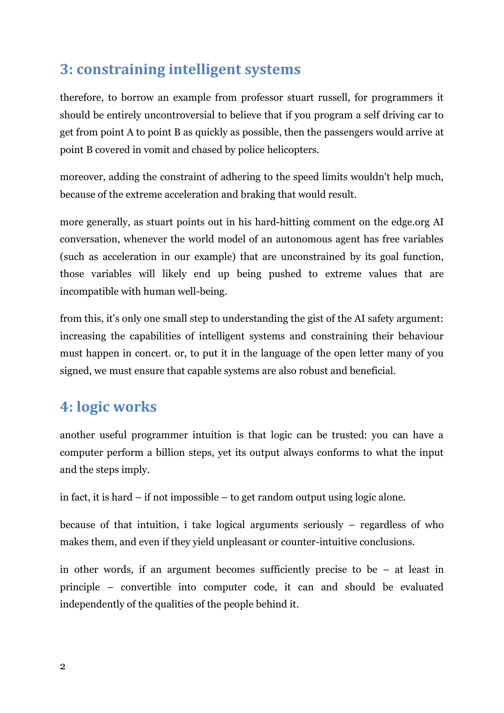## **3: constraining intelligent systems**

therefore, to borrow an example from professor stuart russell, for programmers it should be entirely uncontroversial to believe that if you program a self driving car to get from point A to point B as quickly as possible, then the passengers would arrive at point B covered in vomit and chased by police helicopters.

moreover, adding the constraint of adhering to the speed limits wouldn't help much, because of the extreme acceleration and braking that would result.

more generally, as stuart points out in his hard-hitting comment on the edge.org AI conversation, whenever the world model of an autonomous agent has free variables (such as acceleration in our example) that are unconstrained by its goal function, those variables will likely end up being pushed to extreme values that are incompatible with human well-being.

from this, it's only one small step to understanding the gist of the AI safety argument: increasing the capabilities of intelligent systems and constraining their behaviour must happen in concert. or, to put it in the language of the open letter many of you signed, we must ensure that capable systems are also robust and beneficial.

### **4: logic works**

another useful programmer intuition is that logic can be trusted: you can have a computer perform a billion steps, yet its output always conforms to what the input and the steps imply.

in fact, it is hard – if not impossible – to get random output using logic alone.

because of that intuition, i take logical arguments seriously – regardless of who makes them, and even if they yield unpleasant or counter-intuitive conclusions.

in other words, if an argument becomes sufficiently precise to be – at least in principle – convertible into computer code, it can and should be evaluated independently of the qualities of the people behind it.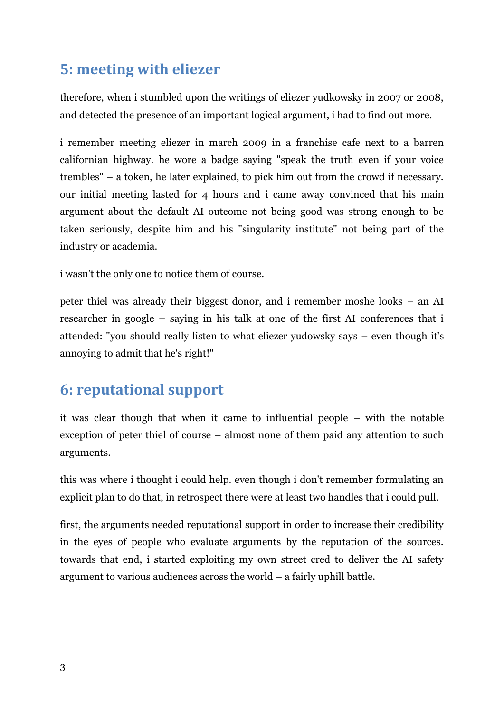## **5: meeting with eliezer**

therefore, when i stumbled upon the writings of eliezer yudkowsky in 2007 or 2008, and detected the presence of an important logical argument, i had to find out more.

i remember meeting eliezer in march 2009 in a franchise cafe next to a barren californian highway. he wore a badge saying "speak the truth even if your voice trembles" – a token, he later explained, to pick him out from the crowd if necessary. our initial meeting lasted for 4 hours and i came away convinced that his main argument about the default AI outcome not being good was strong enough to be taken seriously, despite him and his "singularity institute" not being part of the industry or academia.

i wasn't the only one to notice them of course.

peter thiel was already their biggest donor, and i remember moshe looks – an AI researcher in google – saying in his talk at one of the first AI conferences that i attended: "you should really listen to what eliezer yudowsky says – even though it's annoying to admit that he's right!"

#### **6: reputational support**

it was clear though that when it came to influential people – with the notable exception of peter thiel of course – almost none of them paid any attention to such arguments.

this was where i thought i could help. even though i don't remember formulating an explicit plan to do that, in retrospect there were at least two handles that i could pull.

first, the arguments needed reputational support in order to increase their credibility in the eyes of people who evaluate arguments by the reputation of the sources. towards that end, i started exploiting my own street cred to deliver the AI safety argument to various audiences across the world – a fairly uphill battle.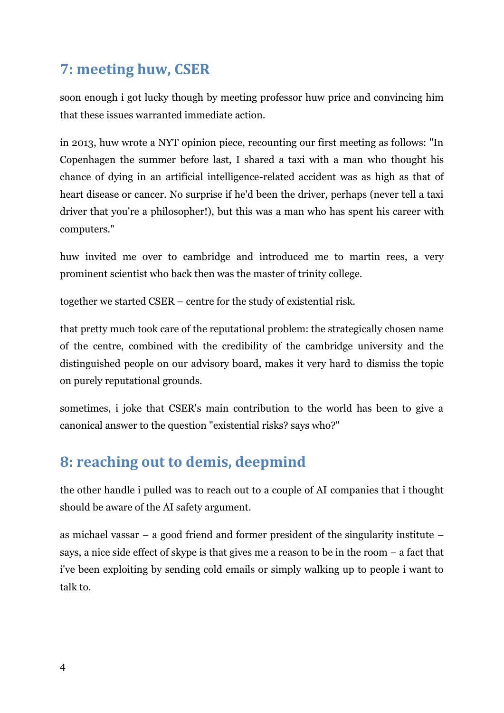## **7: meeting huw, CSER**

soon enough i got lucky though by meeting professor huw price and convincing him that these issues warranted immediate action.

in 2013, huw wrote a NYT opinion piece, recounting our first meeting as follows: "In Copenhagen the summer before last, I shared a taxi with a man who thought his chance of dying in an artificial intelligence-related accident was as high as that of heart disease or cancer. No surprise if he'd been the driver, perhaps (never tell a taxi driver that you're a philosopher!), but this was a man who has spent his career with computers."

huw invited me over to cambridge and introduced me to martin rees, a very prominent scientist who back then was the master of trinity college.

together we started CSER – centre for the study of existential risk.

that pretty much took care of the reputational problem: the strategically chosen name of the centre, combined with the credibility of the cambridge university and the distinguished people on our advisory board, makes it very hard to dismiss the topic on purely reputational grounds.

sometimes, i joke that CSER's main contribution to the world has been to give a canonical answer to the question "existential risks? says who?"

# **8: reaching out to demis, deepmind**

the other handle i pulled was to reach out to a couple of AI companies that i thought should be aware of the AI safety argument.

as michael vassar – a good friend and former president of the singularity institute – says, a nice side effect of skype is that gives me a reason to be in the room – a fact that i've been exploiting by sending cold emails or simply walking up to people i want to talk to.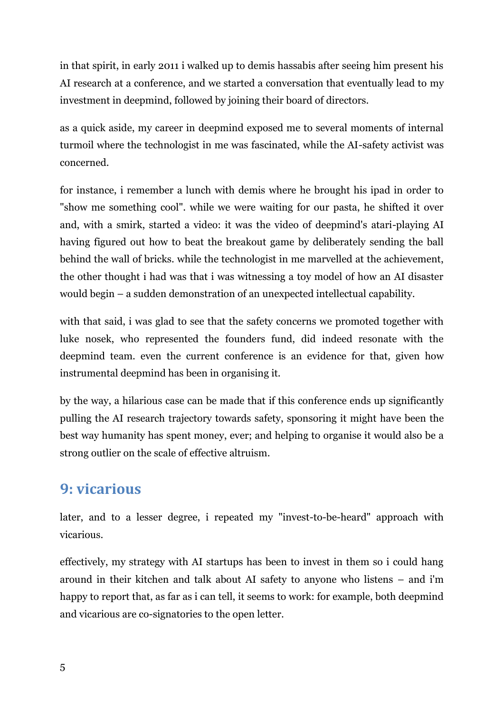in that spirit, in early 2011 i walked up to demis hassabis after seeing him present his AI research at a conference, and we started a conversation that eventually lead to my investment in deepmind, followed by joining their board of directors.

as a quick aside, my career in deepmind exposed me to several moments of internal turmoil where the technologist in me was fascinated, while the AI-safety activist was concerned.

for instance, i remember a lunch with demis where he brought his ipad in order to "show me something cool". while we were waiting for our pasta, he shifted it over and, with a smirk, started a video: it was the video of deepmind's atari-playing AI having figured out how to beat the breakout game by deliberately sending the ball behind the wall of bricks. while the technologist in me marvelled at the achievement, the other thought i had was that i was witnessing a toy model of how an AI disaster would begin – a sudden demonstration of an unexpected intellectual capability.

with that said, i was glad to see that the safety concerns we promoted together with luke nosek, who represented the founders fund, did indeed resonate with the deepmind team. even the current conference is an evidence for that, given how instrumental deepmind has been in organising it.

by the way, a hilarious case can be made that if this conference ends up significantly pulling the AI research trajectory towards safety, sponsoring it might have been the best way humanity has spent money, ever; and helping to organise it would also be a strong outlier on the scale of effective altruism.

#### **9: vicarious**

later, and to a lesser degree, i repeated my "invest-to-be-heard" approach with vicarious.

effectively, my strategy with AI startups has been to invest in them so i could hang around in their kitchen and talk about AI safety to anyone who listens – and i'm happy to report that, as far as i can tell, it seems to work: for example, both deepmind and vicarious are co-signatories to the open letter.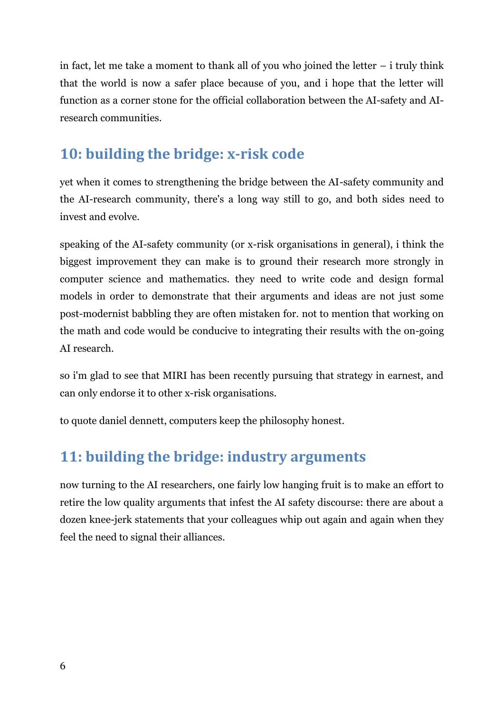in fact, let me take a moment to thank all of you who joined the letter  $-$  i truly think that the world is now a safer place because of you, and i hope that the letter will function as a corner stone for the official collaboration between the AI-safety and AIresearch communities.

## **10: building the bridge: x-risk code**

yet when it comes to strengthening the bridge between the AI-safety community and the AI-research community, there's a long way still to go, and both sides need to invest and evolve.

speaking of the AI-safety community (or x-risk organisations in general), i think the biggest improvement they can make is to ground their research more strongly in computer science and mathematics. they need to write code and design formal models in order to demonstrate that their arguments and ideas are not just some post-modernist babbling they are often mistaken for. not to mention that working on the math and code would be conducive to integrating their results with the on-going AI research.

so i'm glad to see that MIRI has been recently pursuing that strategy in earnest, and can only endorse it to other x-risk organisations.

to quote daniel dennett, computers keep the philosophy honest.

### **11: building the bridge: industry arguments**

now turning to the AI researchers, one fairly low hanging fruit is to make an effort to retire the low quality arguments that infest the AI safety discourse: there are about a dozen knee-jerk statements that your colleagues whip out again and again when they feel the need to signal their alliances.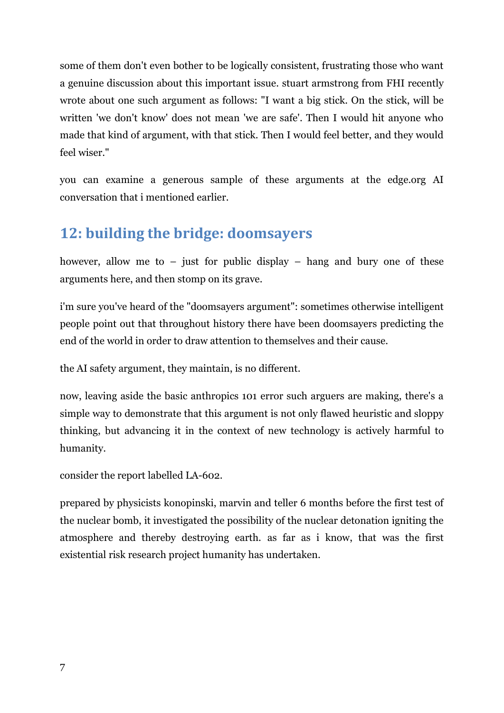some of them don't even bother to be logically consistent, frustrating those who want a genuine discussion about this important issue. stuart armstrong from FHI recently wrote about one such argument as follows: "I want a big stick. On the stick, will be written 'we don't know' does not mean 'we are safe'. Then I would hit anyone who made that kind of argument, with that stick. Then I would feel better, and they would feel wiser."

you can examine a generous sample of these arguments at the edge.org AI conversation that i mentioned earlier.

### **12: building the bridge: doomsayers**

however, allow me to  $-$  just for public display  $-$  hang and bury one of these arguments here, and then stomp on its grave.

i'm sure you've heard of the "doomsayers argument": sometimes otherwise intelligent people point out that throughout history there have been doomsayers predicting the end of the world in order to draw attention to themselves and their cause.

the AI safety argument, they maintain, is no different.

now, leaving aside the basic anthropics 101 error such arguers are making, there's a simple way to demonstrate that this argument is not only flawed heuristic and sloppy thinking, but advancing it in the context of new technology is actively harmful to humanity.

consider the report labelled LA-602.

prepared by physicists konopinski, marvin and teller 6 months before the first test of the nuclear bomb, it investigated the possibility of the nuclear detonation igniting the atmosphere and thereby destroying earth. as far as i know, that was the first existential risk research project humanity has undertaken.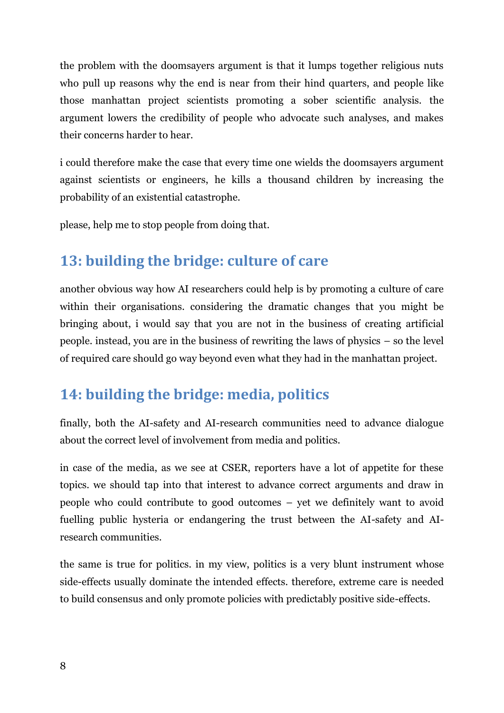the problem with the doomsayers argument is that it lumps together religious nuts who pull up reasons why the end is near from their hind quarters, and people like those manhattan project scientists promoting a sober scientific analysis. the argument lowers the credibility of people who advocate such analyses, and makes their concerns harder to hear.

i could therefore make the case that every time one wields the doomsayers argument against scientists or engineers, he kills a thousand children by increasing the probability of an existential catastrophe.

please, help me to stop people from doing that.

## **13: building the bridge: culture of care**

another obvious way how AI researchers could help is by promoting a culture of care within their organisations. considering the dramatic changes that you might be bringing about, i would say that you are not in the business of creating artificial people. instead, you are in the business of rewriting the laws of physics – so the level of required care should go way beyond even what they had in the manhattan project.

## **14: building the bridge: media, politics**

finally, both the AI-safety and AI-research communities need to advance dialogue about the correct level of involvement from media and politics.

in case of the media, as we see at CSER, reporters have a lot of appetite for these topics. we should tap into that interest to advance correct arguments and draw in people who could contribute to good outcomes – yet we definitely want to avoid fuelling public hysteria or endangering the trust between the AI-safety and AIresearch communities.

the same is true for politics. in my view, politics is a very blunt instrument whose side-effects usually dominate the intended effects. therefore, extreme care is needed to build consensus and only promote policies with predictably positive side-effects.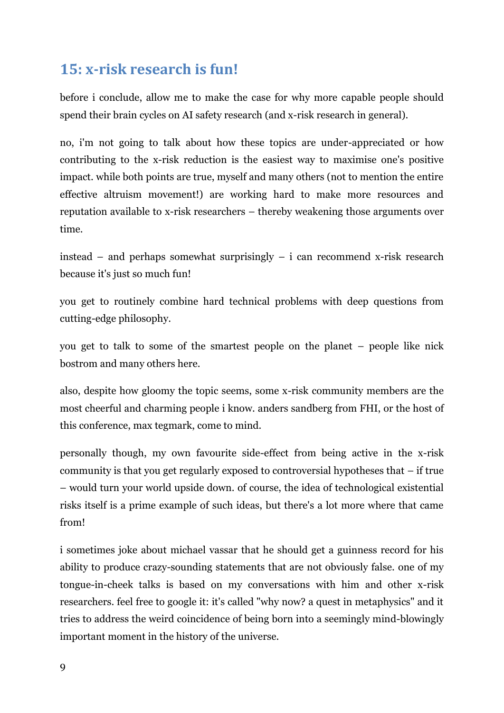## **15: x-risk research is fun!**

before i conclude, allow me to make the case for why more capable people should spend their brain cycles on AI safety research (and x-risk research in general).

no, i'm not going to talk about how these topics are under-appreciated or how contributing to the x-risk reduction is the easiest way to maximise one's positive impact. while both points are true, myself and many others (not to mention the entire effective altruism movement!) are working hard to make more resources and reputation available to x-risk researchers – thereby weakening those arguments over time.

instead – and perhaps somewhat surprisingly – i can recommend x-risk research because it's just so much fun!

you get to routinely combine hard technical problems with deep questions from cutting-edge philosophy.

you get to talk to some of the smartest people on the planet – people like nick bostrom and many others here.

also, despite how gloomy the topic seems, some x-risk community members are the most cheerful and charming people i know. anders sandberg from FHI, or the host of this conference, max tegmark, come to mind.

personally though, my own favourite side-effect from being active in the x-risk community is that you get regularly exposed to controversial hypotheses that – if true – would turn your world upside down. of course, the idea of technological existential risks itself is a prime example of such ideas, but there's a lot more where that came from!

i sometimes joke about michael vassar that he should get a guinness record for his ability to produce crazy-sounding statements that are not obviously false. one of my tongue-in-cheek talks is based on my conversations with him and other x-risk researchers. feel free to google it: it's called "why now? a quest in metaphysics" and it tries to address the weird coincidence of being born into a seemingly mind-blowingly important moment in the history of the universe.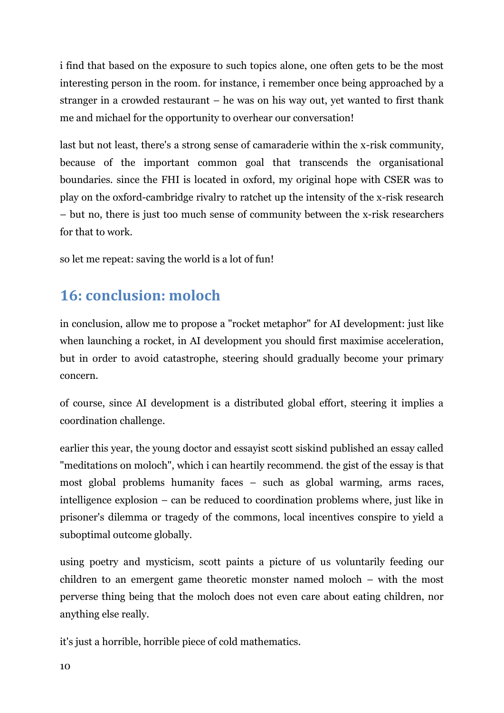i find that based on the exposure to such topics alone, one often gets to be the most interesting person in the room. for instance, i remember once being approached by a stranger in a crowded restaurant – he was on his way out, yet wanted to first thank me and michael for the opportunity to overhear our conversation!

last but not least, there's a strong sense of camaraderie within the x-risk community, because of the important common goal that transcends the organisational boundaries. since the FHI is located in oxford, my original hope with CSER was to play on the oxford-cambridge rivalry to ratchet up the intensity of the x-risk research – but no, there is just too much sense of community between the x-risk researchers for that to work.

so let me repeat: saving the world is a lot of fun!

### **16: conclusion: moloch**

in conclusion, allow me to propose a "rocket metaphor" for AI development: just like when launching a rocket, in AI development you should first maximise acceleration, but in order to avoid catastrophe, steering should gradually become your primary concern.

of course, since AI development is a distributed global effort, steering it implies a coordination challenge.

earlier this year, the young doctor and essayist scott siskind published an essay called "meditations on moloch", which i can heartily recommend. the gist of the essay is that most global problems humanity faces – such as global warming, arms races, intelligence explosion – can be reduced to coordination problems where, just like in prisoner's dilemma or tragedy of the commons, local incentives conspire to yield a suboptimal outcome globally.

using poetry and mysticism, scott paints a picture of us voluntarily feeding our children to an emergent game theoretic monster named moloch – with the most perverse thing being that the moloch does not even care about eating children, nor anything else really.

it's just a horrible, horrible piece of cold mathematics.